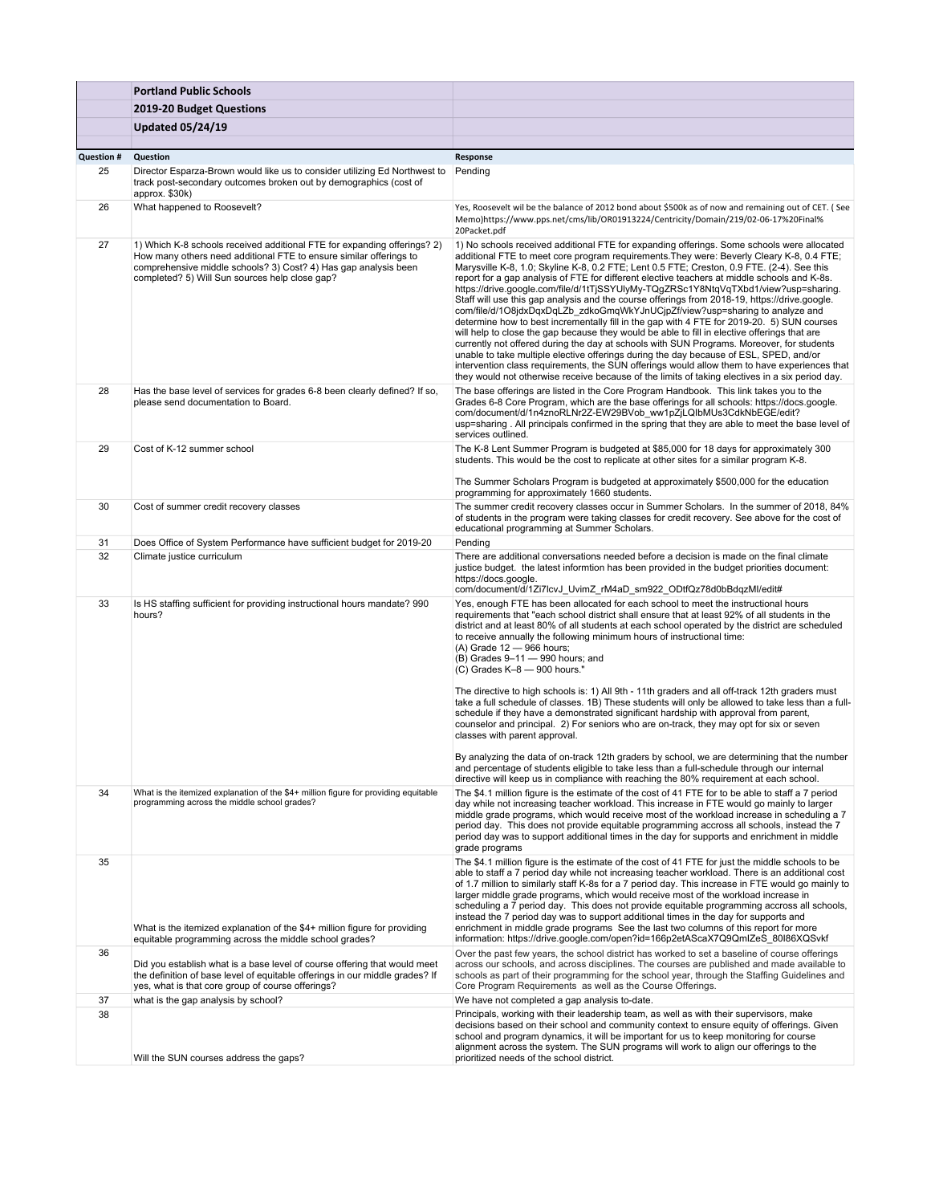|                   | <b>Portland Public Schools</b>                                                                                                                                                                                                                                      |                                                                                                                                                                                                                                                                                                                                                                                                                                                                                                                                                                                                                                                                                                                                                                                                                                                                                                                                                                                                                                                                                                                                                                                                                                                       |
|-------------------|---------------------------------------------------------------------------------------------------------------------------------------------------------------------------------------------------------------------------------------------------------------------|-------------------------------------------------------------------------------------------------------------------------------------------------------------------------------------------------------------------------------------------------------------------------------------------------------------------------------------------------------------------------------------------------------------------------------------------------------------------------------------------------------------------------------------------------------------------------------------------------------------------------------------------------------------------------------------------------------------------------------------------------------------------------------------------------------------------------------------------------------------------------------------------------------------------------------------------------------------------------------------------------------------------------------------------------------------------------------------------------------------------------------------------------------------------------------------------------------------------------------------------------------|
|                   | 2019-20 Budget Questions                                                                                                                                                                                                                                            |                                                                                                                                                                                                                                                                                                                                                                                                                                                                                                                                                                                                                                                                                                                                                                                                                                                                                                                                                                                                                                                                                                                                                                                                                                                       |
|                   | <b>Updated 05/24/19</b>                                                                                                                                                                                                                                             |                                                                                                                                                                                                                                                                                                                                                                                                                                                                                                                                                                                                                                                                                                                                                                                                                                                                                                                                                                                                                                                                                                                                                                                                                                                       |
|                   |                                                                                                                                                                                                                                                                     |                                                                                                                                                                                                                                                                                                                                                                                                                                                                                                                                                                                                                                                                                                                                                                                                                                                                                                                                                                                                                                                                                                                                                                                                                                                       |
| <b>Question #</b> | Question                                                                                                                                                                                                                                                            | Response                                                                                                                                                                                                                                                                                                                                                                                                                                                                                                                                                                                                                                                                                                                                                                                                                                                                                                                                                                                                                                                                                                                                                                                                                                              |
| 25                | Director Esparza-Brown would like us to consider utilizing Ed Northwest to<br>track post-secondary outcomes broken out by demographics (cost of<br>approx. \$30k)                                                                                                   | Pending                                                                                                                                                                                                                                                                                                                                                                                                                                                                                                                                                                                                                                                                                                                                                                                                                                                                                                                                                                                                                                                                                                                                                                                                                                               |
| 26                | What happened to Roosevelt?                                                                                                                                                                                                                                         | Yes, Roosevelt wil be the balance of 2012 bond about \$500k as of now and remaining out of CET. (See<br>Memo)https://www.pps.net/cms/lib/OR01913224/Centricity/Domain/219/02-06-17%20Final%<br>20Packet.pdf                                                                                                                                                                                                                                                                                                                                                                                                                                                                                                                                                                                                                                                                                                                                                                                                                                                                                                                                                                                                                                           |
| 27                | 1) Which K-8 schools received additional FTE for expanding offerings? 2)<br>How many others need additional FTE to ensure similar offerings to<br>comprehensive middle schools? 3) Cost? 4) Has gap analysis been<br>completed? 5) Will Sun sources help close gap? | 1) No schools received additional FTE for expanding offerings. Some schools were allocated<br>additional FTE to meet core program requirements. They were: Beverly Cleary K-8, 0.4 FTE;<br>Marysville K-8, 1.0; Skyline K-8, 0.2 FTE; Lent 0.5 FTE; Creston, 0.9 FTE. (2-4). See this<br>report for a gap analysis of FTE for different elective teachers at middle schools and K-8s.<br>https://drive.google.com/file/d/1tTjSSYUlyMy-TQgZRSc1Y8NtqVqTXbd1/view?usp=sharing.<br>Staff will use this gap analysis and the course offerings from 2018-19, https://drive.google.<br>com/file/d/1O8jdxDqxDqLZb_zdkoGmqWkYJnUCjpZf/view?usp=sharing to analyze and<br>determine how to best incrementally fill in the gap with 4 FTE for 2019-20. 5) SUN courses<br>will help to close the gap because they would be able to fill in elective offerings that are<br>currently not offered during the day at schools with SUN Programs. Moreover, for students<br>unable to take multiple elective offerings during the day because of ESL, SPED, and/or<br>intervention class requirements, the SUN offerings would allow them to have experiences that<br>they would not otherwise receive because of the limits of taking electives in a six period day. |
| 28                | Has the base level of services for grades 6-8 been clearly defined? If so,<br>please send documentation to Board.                                                                                                                                                   | The base offerings are listed in the Core Program Handbook. This link takes you to the<br>Grades 6-8 Core Program, which are the base offerings for all schools: https://docs.google.<br>com/document/d/1n4znoRLNr2Z-EW29BVob ww1pZjLQlbMUs3CdkNbEGE/edit?<br>usp=sharing. All principals confirmed in the spring that they are able to meet the base level of<br>services outlined.                                                                                                                                                                                                                                                                                                                                                                                                                                                                                                                                                                                                                                                                                                                                                                                                                                                                  |
| 29                | Cost of K-12 summer school                                                                                                                                                                                                                                          | The K-8 Lent Summer Program is budgeted at \$85,000 for 18 days for approximately 300<br>students. This would be the cost to replicate at other sites for a similar program K-8.                                                                                                                                                                                                                                                                                                                                                                                                                                                                                                                                                                                                                                                                                                                                                                                                                                                                                                                                                                                                                                                                      |
|                   |                                                                                                                                                                                                                                                                     | The Summer Scholars Program is budgeted at approximately \$500,000 for the education<br>programming for approximately 1660 students.                                                                                                                                                                                                                                                                                                                                                                                                                                                                                                                                                                                                                                                                                                                                                                                                                                                                                                                                                                                                                                                                                                                  |
| 30                | Cost of summer credit recovery classes                                                                                                                                                                                                                              | The summer credit recovery classes occur in Summer Scholars. In the summer of 2018, 84%<br>of students in the program were taking classes for credit recovery. See above for the cost of<br>educational programming at Summer Scholars.                                                                                                                                                                                                                                                                                                                                                                                                                                                                                                                                                                                                                                                                                                                                                                                                                                                                                                                                                                                                               |
| 31                | Does Office of System Performance have sufficient budget for 2019-20                                                                                                                                                                                                | Pending                                                                                                                                                                                                                                                                                                                                                                                                                                                                                                                                                                                                                                                                                                                                                                                                                                                                                                                                                                                                                                                                                                                                                                                                                                               |
| 32                | Climate justice curriculum                                                                                                                                                                                                                                          | There are additional conversations needed before a decision is made on the final climate<br>justice budget. the latest informtion has been provided in the budget priorities document:<br>https://docs.google.<br>com/document/d/1Zi7lcvJ_UvimZ_rM4aD_sm922_ODtfQz78d0bBdqzMl/edit#                                                                                                                                                                                                                                                                                                                                                                                                                                                                                                                                                                                                                                                                                                                                                                                                                                                                                                                                                                   |
| 33                | Is HS staffing sufficient for providing instructional hours mandate? 990<br>hours?                                                                                                                                                                                  | Yes, enough FTE has been allocated for each school to meet the instructional hours<br>requirements that "each school district shall ensure that at least 92% of all students in the<br>district and at least 80% of all students at each school operated by the district are scheduled<br>to receive annually the following minimum hours of instructional time:<br>(A) Grade 12 - 966 hours;<br>(B) Grades 9-11 - 990 hours; and<br>$(C)$ Grades K-8 $-$ 900 hours."<br>The directive to high schools is: 1) All 9th - 11th graders and all off-track 12th graders must<br>take a full schedule of classes. 1B) These students will only be allowed to take less than a full-<br>schedule if they have a demonstrated significant hardship with approval from parent,<br>counselor and principal. 2) For seniors who are on-track, they may opt for six or seven<br>classes with parent approval.                                                                                                                                                                                                                                                                                                                                                    |
|                   |                                                                                                                                                                                                                                                                     | By analyzing the data of on-track 12th graders by school, we are determining that the number<br>and percentage of students eligible to take less than a full-schedule through our internal<br>directive will keep us in compliance with reaching the 80% requirement at each school.                                                                                                                                                                                                                                                                                                                                                                                                                                                                                                                                                                                                                                                                                                                                                                                                                                                                                                                                                                  |
| 34                | What is the itemized explanation of the \$4+ million figure for providing equitable<br>programming across the middle school grades?                                                                                                                                 | The \$4.1 million figure is the estimate of the cost of 41 FTE for to be able to staff a 7 period<br>day while not increasing teacher workload. This increase in FTE would go mainly to larger<br>middle grade programs, which would receive most of the workload increase in scheduling a 7<br>period day. This does not provide equitable programming accross all schools, instead the 7<br>period day was to support additional times in the day for supports and enrichment in middle<br>grade programs                                                                                                                                                                                                                                                                                                                                                                                                                                                                                                                                                                                                                                                                                                                                           |
| 35                | What is the itemized explanation of the \$4+ million figure for providing<br>equitable programming across the middle school grades?                                                                                                                                 | The \$4.1 million figure is the estimate of the cost of 41 FTE for just the middle schools to be<br>able to staff a 7 period day while not increasing teacher workload. There is an additional cost<br>of 1.7 million to similarly staff K-8s for a 7 period day. This increase in FTE would go mainly to<br>larger middle grade programs, which would receive most of the workload increase in<br>scheduling a 7 period day. This does not provide equitable programming accross all schools,<br>instead the 7 period day was to support additional times in the day for supports and<br>enrichment in middle grade programs See the last two columns of this report for more<br>information: https://drive.google.com/open?id=166p2etAScaX7Q9QmIZeS_80I86XQSvkf                                                                                                                                                                                                                                                                                                                                                                                                                                                                                     |
| 36                | Did you establish what is a base level of course offering that would meet<br>the definition of base level of equitable offerings in our middle grades? If<br>yes, what is that core group of course offerings?                                                      | Over the past few years, the school district has worked to set a baseline of course offerings<br>across our schools, and across disciplines. The courses are published and made available to<br>schools as part of their programming for the school year, through the Staffing Guidelines and<br>Core Program Requirements as well as the Course Offerings.                                                                                                                                                                                                                                                                                                                                                                                                                                                                                                                                                                                                                                                                                                                                                                                                                                                                                           |
| 37                | what is the gap analysis by school?                                                                                                                                                                                                                                 | We have not completed a gap analysis to-date.                                                                                                                                                                                                                                                                                                                                                                                                                                                                                                                                                                                                                                                                                                                                                                                                                                                                                                                                                                                                                                                                                                                                                                                                         |
| 38                | Will the SUN courses address the gaps?                                                                                                                                                                                                                              | Principals, working with their leadership team, as well as with their supervisors, make<br>decisions based on their school and community context to ensure equity of offerings. Given<br>school and program dynamics, it will be important for us to keep monitoring for course<br>alignment across the system. The SUN programs will work to align our offerings to the<br>prioritized needs of the school district.                                                                                                                                                                                                                                                                                                                                                                                                                                                                                                                                                                                                                                                                                                                                                                                                                                 |
|                   |                                                                                                                                                                                                                                                                     |                                                                                                                                                                                                                                                                                                                                                                                                                                                                                                                                                                                                                                                                                                                                                                                                                                                                                                                                                                                                                                                                                                                                                                                                                                                       |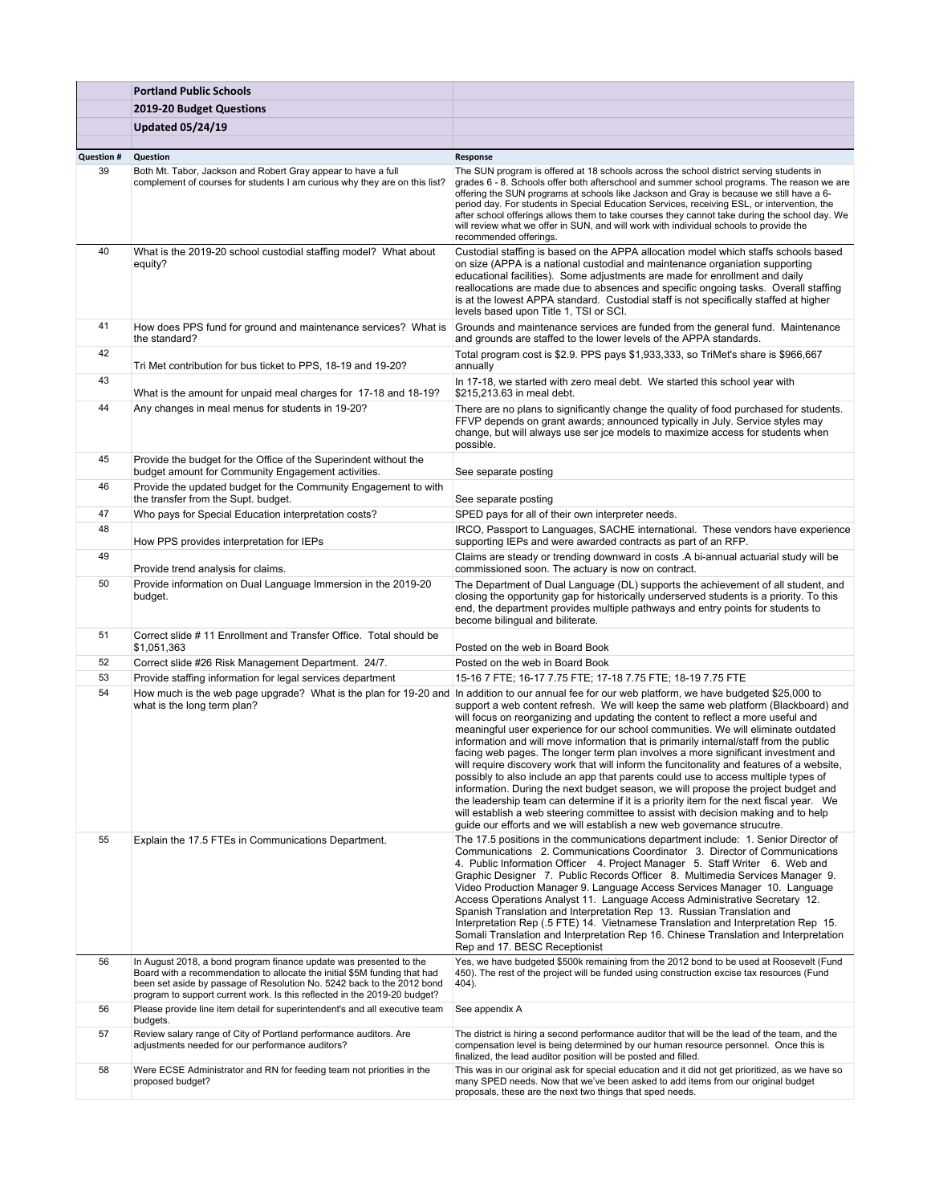|                         | <b>Portland Public Schools</b>                                                                                                                                                                                                                                                                         |                                                                                                                                                                                                                                                                                                                                                                                                                                                                                                                                                                                                                                                                                                                                                                                                                                                                                                                                                                                                                                                                                                                                      |
|-------------------------|--------------------------------------------------------------------------------------------------------------------------------------------------------------------------------------------------------------------------------------------------------------------------------------------------------|--------------------------------------------------------------------------------------------------------------------------------------------------------------------------------------------------------------------------------------------------------------------------------------------------------------------------------------------------------------------------------------------------------------------------------------------------------------------------------------------------------------------------------------------------------------------------------------------------------------------------------------------------------------------------------------------------------------------------------------------------------------------------------------------------------------------------------------------------------------------------------------------------------------------------------------------------------------------------------------------------------------------------------------------------------------------------------------------------------------------------------------|
|                         | 2019-20 Budget Questions                                                                                                                                                                                                                                                                               |                                                                                                                                                                                                                                                                                                                                                                                                                                                                                                                                                                                                                                                                                                                                                                                                                                                                                                                                                                                                                                                                                                                                      |
|                         | <b>Updated 05/24/19</b>                                                                                                                                                                                                                                                                                |                                                                                                                                                                                                                                                                                                                                                                                                                                                                                                                                                                                                                                                                                                                                                                                                                                                                                                                                                                                                                                                                                                                                      |
|                         |                                                                                                                                                                                                                                                                                                        |                                                                                                                                                                                                                                                                                                                                                                                                                                                                                                                                                                                                                                                                                                                                                                                                                                                                                                                                                                                                                                                                                                                                      |
| <b>Question #</b><br>39 | Question<br>Both Mt. Tabor, Jackson and Robert Gray appear to have a full<br>complement of courses for students I am curious why they are on this list?                                                                                                                                                | Response<br>The SUN program is offered at 18 schools across the school district serving students in<br>grades 6 - 8. Schools offer both afterschool and summer school programs. The reason we are<br>offering the SUN programs at schools like Jackson and Gray is because we still have a 6-<br>period day. For students in Special Education Services, receiving ESL, or intervention, the<br>after school offerings allows them to take courses they cannot take during the school day. We<br>will review what we offer in SUN, and will work with individual schools to provide the<br>recommended offerings.                                                                                                                                                                                                                                                                                                                                                                                                                                                                                                                    |
| 40                      | What is the 2019-20 school custodial staffing model? What about<br>equity?                                                                                                                                                                                                                             | Custodial staffing is based on the APPA allocation model which staffs schools based<br>on size (APPA is a national custodial and maintenance organiation supporting<br>educational facilities). Some adjustments are made for enrollment and daily<br>reallocations are made due to absences and specific ongoing tasks. Overall staffing<br>is at the lowest APPA standard. Custodial staff is not specifically staffed at higher<br>levels based upon Title 1, TSI or SCI.                                                                                                                                                                                                                                                                                                                                                                                                                                                                                                                                                                                                                                                         |
| 41                      | How does PPS fund for ground and maintenance services? What is<br>the standard?                                                                                                                                                                                                                        | Grounds and maintenance services are funded from the general fund. Maintenance<br>and grounds are staffed to the lower levels of the APPA standards.                                                                                                                                                                                                                                                                                                                                                                                                                                                                                                                                                                                                                                                                                                                                                                                                                                                                                                                                                                                 |
| 42                      | Tri Met contribution for bus ticket to PPS, 18-19 and 19-20?                                                                                                                                                                                                                                           | Total program cost is \$2.9. PPS pays \$1,933,333, so TriMet's share is \$966,667<br>annually                                                                                                                                                                                                                                                                                                                                                                                                                                                                                                                                                                                                                                                                                                                                                                                                                                                                                                                                                                                                                                        |
| 43                      | What is the amount for unpaid meal charges for 17-18 and 18-19?                                                                                                                                                                                                                                        | In 17-18, we started with zero meal debt. We started this school year with<br>\$215,213.63 in meal debt.                                                                                                                                                                                                                                                                                                                                                                                                                                                                                                                                                                                                                                                                                                                                                                                                                                                                                                                                                                                                                             |
| 44                      | Any changes in meal menus for students in 19-20?                                                                                                                                                                                                                                                       | There are no plans to significantly change the quality of food purchased for students.<br>FFVP depends on grant awards; announced typically in July. Service styles may<br>change, but will always use ser jce models to maximize access for students when<br>possible.                                                                                                                                                                                                                                                                                                                                                                                                                                                                                                                                                                                                                                                                                                                                                                                                                                                              |
| 45                      | Provide the budget for the Office of the Superindent without the<br>budget amount for Community Engagement activities.                                                                                                                                                                                 | See separate posting                                                                                                                                                                                                                                                                                                                                                                                                                                                                                                                                                                                                                                                                                                                                                                                                                                                                                                                                                                                                                                                                                                                 |
| 46                      | Provide the updated budget for the Community Engagement to with<br>the transfer from the Supt. budget.                                                                                                                                                                                                 | See separate posting                                                                                                                                                                                                                                                                                                                                                                                                                                                                                                                                                                                                                                                                                                                                                                                                                                                                                                                                                                                                                                                                                                                 |
| 47                      | Who pays for Special Education interpretation costs?                                                                                                                                                                                                                                                   | SPED pays for all of their own interpreter needs.                                                                                                                                                                                                                                                                                                                                                                                                                                                                                                                                                                                                                                                                                                                                                                                                                                                                                                                                                                                                                                                                                    |
| 48                      | How PPS provides interpretation for IEPs                                                                                                                                                                                                                                                               | IRCO, Passport to Languages, SACHE international. These vendors have experience<br>supporting IEPs and were awarded contracts as part of an RFP.                                                                                                                                                                                                                                                                                                                                                                                                                                                                                                                                                                                                                                                                                                                                                                                                                                                                                                                                                                                     |
| 49                      | Provide trend analysis for claims.                                                                                                                                                                                                                                                                     | Claims are steady or trending downward in costs .A bi-annual actuarial study will be<br>commissioned soon. The actuary is now on contract.                                                                                                                                                                                                                                                                                                                                                                                                                                                                                                                                                                                                                                                                                                                                                                                                                                                                                                                                                                                           |
| 50                      | Provide information on Dual Language Immersion in the 2019-20<br>budget.                                                                                                                                                                                                                               | The Department of Dual Language (DL) supports the achievement of all student, and<br>closing the opportunity gap for historically underserved students is a priority. To this<br>end, the department provides multiple pathways and entry points for students to<br>become bilingual and biliterate.                                                                                                                                                                                                                                                                                                                                                                                                                                                                                                                                                                                                                                                                                                                                                                                                                                 |
| 51                      | Correct slide #11 Enrollment and Transfer Office. Total should be<br>\$1,051,363                                                                                                                                                                                                                       | Posted on the web in Board Book                                                                                                                                                                                                                                                                                                                                                                                                                                                                                                                                                                                                                                                                                                                                                                                                                                                                                                                                                                                                                                                                                                      |
| 52                      | Correct slide #26 Risk Management Department. 24/7.                                                                                                                                                                                                                                                    | Posted on the web in Board Book                                                                                                                                                                                                                                                                                                                                                                                                                                                                                                                                                                                                                                                                                                                                                                                                                                                                                                                                                                                                                                                                                                      |
| 53<br>54                | Provide staffing information for legal services department                                                                                                                                                                                                                                             | 15-16 7 FTE; 16-17 7.75 FTE; 17-18 7.75 FTE; 18-19 7.75 FTE                                                                                                                                                                                                                                                                                                                                                                                                                                                                                                                                                                                                                                                                                                                                                                                                                                                                                                                                                                                                                                                                          |
|                         | what is the long term plan?                                                                                                                                                                                                                                                                            | How much is the web page upgrade? What is the plan for 19-20 and In addition to our annual fee for our web platform, we have budgeted \$25,000 to<br>support a web content refresh. We will keep the same web platform (Blackboard) and<br>will focus on reorganizing and updating the content to reflect a more useful and<br>meaningful user experience for our school communities. We will eliminate outdated<br>information and will move information that is primarily internal/staff from the public<br>facing web pages. The longer term plan involves a more significant investment and<br>will require discovery work that will inform the funcitonality and features of a website,<br>possibly to also include an app that parents could use to access multiple types of<br>information. During the next budget season, we will propose the project budget and<br>the leadership team can determine if it is a priority item for the next fiscal year. We<br>will establish a web steering committee to assist with decision making and to help<br>guide our efforts and we will establish a new web governance strucutre. |
| 55                      | Explain the 17.5 FTEs in Communications Department.                                                                                                                                                                                                                                                    | The 17.5 positions in the communications department include: 1. Senior Director of<br>Communications 2. Communications Coordinator 3. Director of Communications<br>4. Public Information Officer 4. Project Manager 5. Staff Writer 6. Web and<br>Graphic Designer 7. Public Records Officer 8. Multimedia Services Manager 9.<br>Video Production Manager 9. Language Access Services Manager 10. Language<br>Access Operations Analyst 11. Language Access Administrative Secretary 12.<br>Spanish Translation and Interpretation Rep 13. Russian Translation and<br>Interpretation Rep (.5 FTE) 14. Vietnamese Translation and Interpretation Rep 15.<br>Somali Translation and Interpretation Rep 16. Chinese Translation and Interpretation<br>Rep and 17. BESC Receptionist                                                                                                                                                                                                                                                                                                                                                   |
| 56                      | In August 2018, a bond program finance update was presented to the<br>Board with a recommendation to allocate the initial \$5M funding that had<br>been set aside by passage of Resolution No. 5242 back to the 2012 bond<br>program to support current work. Is this reflected in the 2019-20 budget? | Yes, we have budgeted \$500k remaining from the 2012 bond to be used at Roosevelt (Fund<br>450). The rest of the project will be funded using construction excise tax resources (Fund<br>404).                                                                                                                                                                                                                                                                                                                                                                                                                                                                                                                                                                                                                                                                                                                                                                                                                                                                                                                                       |
| 56                      | Please provide line item detail for superintendent's and all executive team<br>budgets.                                                                                                                                                                                                                | See appendix A                                                                                                                                                                                                                                                                                                                                                                                                                                                                                                                                                                                                                                                                                                                                                                                                                                                                                                                                                                                                                                                                                                                       |
| 57                      | Review salary range of City of Portland performance auditors. Are<br>adjustments needed for our performance auditors?                                                                                                                                                                                  | The district is hiring a second performance auditor that will be the lead of the team, and the<br>compensation level is being determined by our human resource personnel. Once this is<br>finalized, the lead auditor position will be posted and filled.                                                                                                                                                                                                                                                                                                                                                                                                                                                                                                                                                                                                                                                                                                                                                                                                                                                                            |
| 58                      | Were ECSE Administrator and RN for feeding team not priorities in the<br>proposed budget?                                                                                                                                                                                                              | This was in our original ask for special education and it did not get prioritized, as we have so<br>many SPED needs. Now that we've been asked to add items from our original budget<br>proposals, these are the next two things that sped needs.                                                                                                                                                                                                                                                                                                                                                                                                                                                                                                                                                                                                                                                                                                                                                                                                                                                                                    |